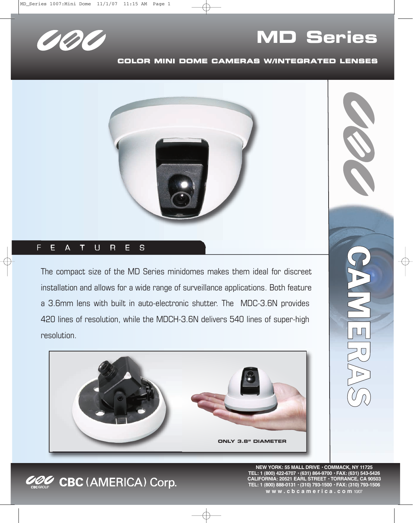

## **MD Series**

## **COLOR MINI DOME CAMERAS W/INTEGRATED LENSES**



## F E  $\cup$  $\mathsf{R}$ E S  $\mathsf{A}$ Т

The compact size of the MD Series minidomes makes them ideal for discreet installation and allows for a wide range of surveillance applications. Both feature a 3.6mm lens with built in auto-electronic shutter. The MDC-3.6N provides 420 lines of resolution, while the MDCH-3.6N delivers 540 lines of super-high resolution.





CBC (AMERICA) Corp.

**NEW YORK: 55 MALL DRIVE • COMMACK, NY 11725 TEL: 1 (800) 422-6707 • (631) 864-9700 • FAX: (631) 543-5426 CALIFORNIA: 20521 EARL STREET • TORRANCE, CA 90503 TEL: 1 (800) 888-0131 • (310) 793-1500 • FAX: (310) 793-1506 w w w . c b c a m e r i c a . c o m** 10/07